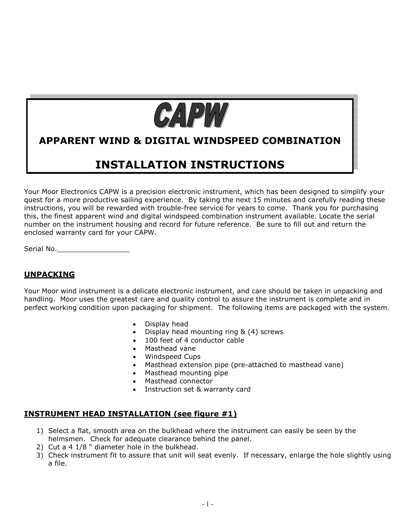

# **APPARENT WIND & DIGITAL WINDSPEED COMBINATION**

# **INSTALLATION INSTRUCTIONS**

Your Moor Electronics CAPW is a precision electronic instrument, which has been designed to simplify your quest for a more productive sailing experience. By taking the next 15 minutes and carefully reading these instructions, you will be rewarded with trouble-free service for years to come. Thank you for purchasing this, the finest apparent wind and digital windspeed combination instrument available. Locate the serial number on the instrument housing and record for future reference. Be sure to fill out and return the enclosed warranty card for your CAPW.

Serial No.\_\_\_\_\_\_\_\_\_\_\_\_\_\_\_\_\_

## **UNPACKING**

Your Moor wind instrument is a delicate electronic instrument, and care should be taken in unpacking and handling. Moor uses the greatest care and quality control to assure the instrument is complete and in perfect working condition upon packaging for shipment. The following items are packaged with the system.

- Display head
- Display head mounting ring  $\&$  (4) screws
- 100 feet of 4 conductor cable
- Masthead vane
- Windspeed Cups
- Masthead extension pipe (pre-attached to masthead vane)
- Masthead mounting pipe
- Masthead connector
- Instruction set & warranty card

## **INSTRUMENT HEAD INSTALLATION (see figure #1)**

- 1) Select a flat, smooth area on the bulkhead where the instrument can easily be seen by the helmsmen. Check for adequate clearance behind the panel.
- 2) Cut a 4 1/8 " diameter hole in the bulkhead.
- 3) Check instrument fit to assure that unit will seat evenly. If necessary, enlarge the hole slightly using a file.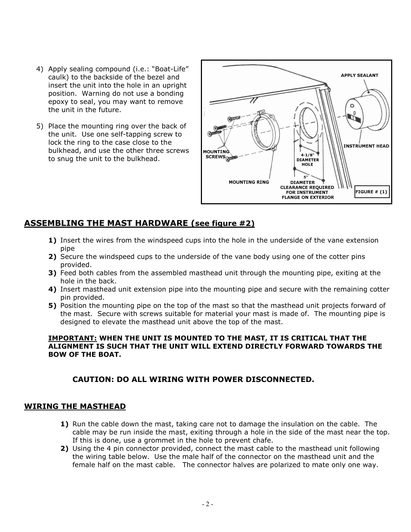- 4) Apply sealing compound (i.e.: "Boat-Life" caulk) to the backside of the bezel and insert the unit into the hole in an upright position. Warning do not use a bonding epoxy to seal, you may want to remove the unit in the future.
- 5) Place the mounting ring over the back of the unit. Use one self-tapping screw to lock the ring to the case close to the bulkhead, and use the other three screws to snug the unit to the bulkhead.



## **ASSEMBLING THE MAST HARDWARE (see figure #2)**

- 1) Insert the wires from the windspeed cups into the hole in the underside of the vane extension pipe
- **2)** Secure the windspeed cups to the underside of the vane body using one of the cotter pins provided.
- **3)** Feed both cables from the assembled masthead unit through the mounting pipe, exiting at the hole in the back.
- **4)** Insert masthead unit extension pipe into the mounting pipe and secure with the remaining cotter pin provided.
- **5)** Position the mounting pipe on the top of the mast so that the masthead unit projects forward of the mast. Secure with screws suitable for material your mast is made of. The mounting pipe is designed to elevate the masthead unit above the top of the mast.

#### **IMPORTANT: WHEN THE UNIT IS MOUNTED TO THE MAST, IT IS CRITICAL THAT THE ALIGNMENT IS SUCH THAT THE UNIT WILL EXTEND DIRECTLY FORWARD TOWARDS THE BOW OF THE BOAT.**

## **CAUTION: DO ALL WIRING WITH POWER DISCONNECTED.**

## **WIRING THE MASTHEAD**

- **1)** Run the cable down the mast, taking care not to damage the insulation on the cable. The cable may be run inside the mast, exiting through a hole in the side of the mast near the top. If this is done, use a grommet in the hole to prevent chafe.
- **2)** Using the 4 pin connector provided, connect the mast cable to the masthead unit following the wiring table below. Use the male half of the connector on the masthead unit and the female half on the mast cable. The connector halves are polarized to mate only one way.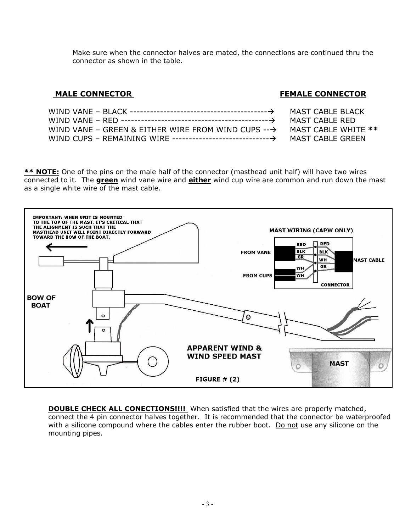Make sure when the connector halves are mated, the connections are continued thru the connector as shown in the table.

## **MALE CONNECTOR FEMALE CONNECTOR**

MAST CABLE BLACK MAST CABLE RED

MAST CABLE WHITE \*\* MAST CABLE GREEN

| WIND VANE – GREEN & EITHER WIRE FROM WIND CUPS $\rightarrow$ |  |
|--------------------------------------------------------------|--|
|                                                              |  |

**\*\* NOTE:** One of the pins on the male half of the connector (masthead unit half) will have two wires connected to it. The **green** wind vane wire and **either** wind cup wire are common and run down the mast as a single white wire of the mast cable.



**DOUBLE CHECK ALL CONECTIONS!!!!** When satisfied that the wires are properly matched, connect the 4 pin connector halves together. It is recommended that the connector be waterproofed with a silicone compound where the cables enter the rubber boot. Do not use any silicone on the mounting pipes.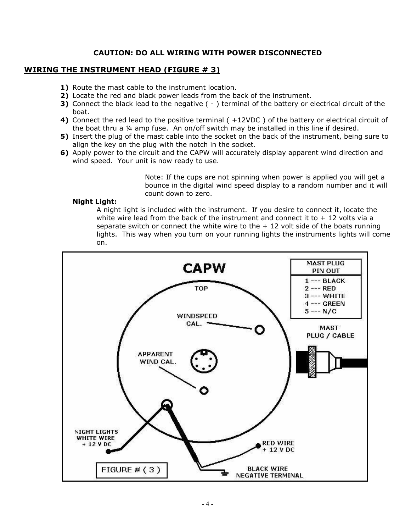## **CAUTION: DO ALL WIRING WITH POWER DISCONNECTED**

### **WIRING THE INSTRUMENT HEAD (FIGURE # 3)**

- **1)** Route the mast cable to the instrument location.
- **2)** Locate the red and black power leads from the back of the instrument.
- **3)** Connect the black lead to the negative ( ) terminal of the battery or electrical circuit of the boat.
- **4)** Connect the red lead to the positive terminal ( +12VDC ) of the battery or electrical circuit of the boat thru a ¼ amp fuse. An on/off switch may be installed in this line if desired.
- **5)** Insert the plug of the mast cable into the socket on the back of the instrument, being sure to align the key on the plug with the notch in the socket.
- **6)** Apply power to the circuit and the CAPW will accurately display apparent wind direction and wind speed. Your unit is now ready to use.

Note: If the cups are not spinning when power is applied you will get a bounce in the digital wind speed display to a random number and it will count down to zero.

#### **Night Light:**

A night light is included with the instrument. If you desire to connect it, locate the white wire lead from the back of the instrument and connect it to  $+12$  volts via a separate switch or connect the white wire to the  $+12$  volt side of the boats running lights. This way when you turn on your running lights the instruments lights will come on.

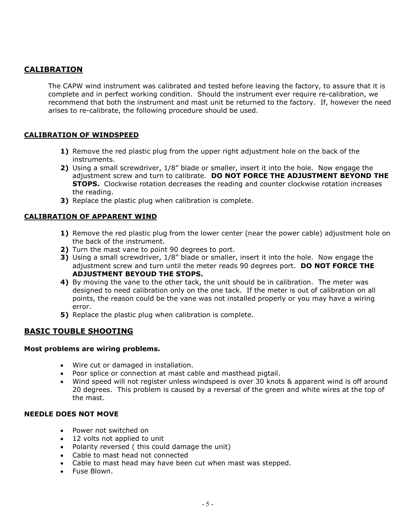## **CALIBRATION**

 The CAPW wind instrument was calibrated and tested before leaving the factory, to assure that it is complete and in perfect working condition. Should the instrument ever require re-calibration, we recommend that both the instrument and mast unit be returned to the factory. If, however the need arises to re-calibrate, the following procedure should be used.

## **CALIBRATION OF WINDSPEED**

- **1)** Remove the red plastic plug from the upper right adjustment hole on the back of the instruments.
- **2)** Using a small screwdriver, 1/8" blade or smaller, insert it into the hole. Now engage the adjustment screw and turn to calibrate. **DO NOT FORCE THE ADJUSTMENT BEYOND THE STOPS.** Clockwise rotation decreases the reading and counter clockwise rotation increases the reading.
- **3)** Replace the plastic plug when calibration is complete.

## **CALIBRATION OF APPARENT WIND**

- **1)** Remove the red plastic plug from the lower center (near the power cable) adjustment hole on the back of the instrument.
- **2)** Turn the mast vane to point 90 degrees to port.
- **3)** Using a small screwdriver, 1/8" blade or smaller, insert it into the hole. Now engage the adjustment screw and turn until the meter reads 90 degrees port. **DO NOT FORCE THE ADJUSTMENT BEYOUD THE STOPS.**
- **4)** By moving the vane to the other tack, the unit should be in calibration. The meter was designed to need calibration only on the one tack. If the meter is out of calibration on all points, the reason could be the vane was not installed properly or you may have a wiring error.
- **5)** Replace the plastic plug when calibration is complete.

## **BASIC TOUBLE SHOOTING**

#### **Most problems are wiring problems.**

- Wire cut or damaged in installation.
- Poor splice or connection at mast cable and masthead pigtail.
- Wind speed will not register unless windspeed is over 30 knots & apparent wind is off around 20 degrees. This problem is caused by a reversal of the green and white wires at the top of the mast.

## **NEEDLE DOES NOT MOVE**

- Power not switched on
- 12 volts not applied to unit
- Polarity reversed ( this could damage the unit)
- Cable to mast head not connected
- Cable to mast head may have been cut when mast was stepped.
- Fuse Blown.